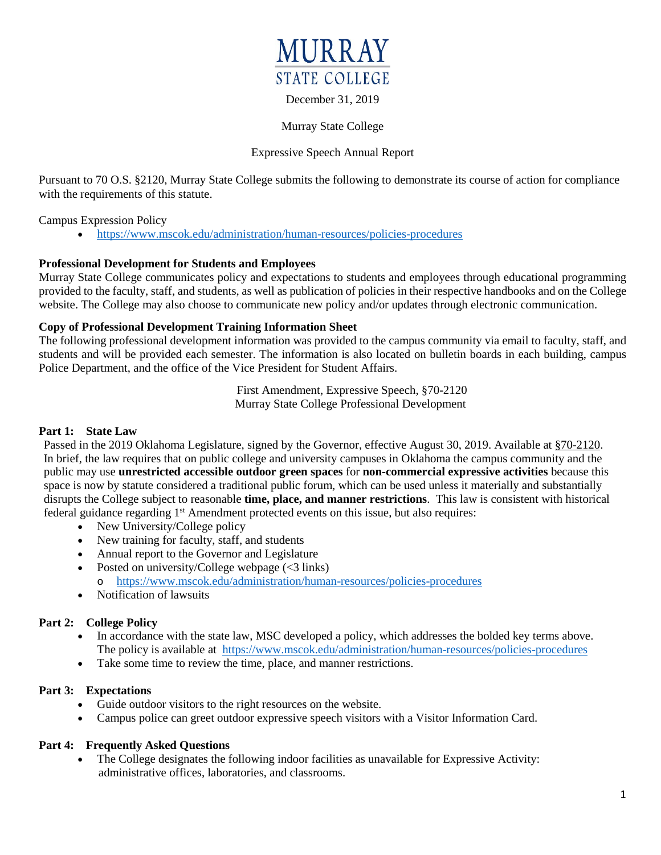

## December 31, 2019

### Murray State College

## Expressive Speech Annual Report

Pursuant to 70 O.S. §2120, Murray State College submits the following to demonstrate its course of action for compliance with the requirements of this statute.

Campus Expression Policy

• <https://www.mscok.edu/administration/human-resources/policies-procedures>

## **Professional Development for Students and Employees**

Murray State College communicates policy and expectations to students and employees through educational programming provided to the faculty, staff, and students, as well as publication of policies in their respective handbooks and on the College website. The College may also choose to communicate new policy and/or updates through electronic communication.

### **Copy of Professional Development Training Information Sheet**

The following professional development information was provided to the campus community via email to faculty, staff, and students and will be provided each semester. The information is also located on bulletin boards in each building, campus Police Department, and the office of the Vice President for Student Affairs.

> First Amendment, Expressive Speech, §70-2120 Murray State College Professional Development

#### **Part 1: State Law**

Passed in the 2019 Oklahoma Legislature, signed by the Governor, effective August 30, 2019. Available at [§70-2120.](http://webserver1.lsb.state.ok.us/cf_pdf/2019-20%20ENR/SB/SB361%20ENR.PDF) In brief, the law requires that on public college and university campuses in Oklahoma the campus community and the public may use **unrestricted accessible outdoor green spaces** for **non-commercial expressive activities** because this space is now by statute considered a traditional public forum, which can be used unless it materially and substantially disrupts the College subject to reasonable **time, place, and manner restrictions**. This law is consistent with historical federal guidance regarding  $1<sup>st</sup>$  Amendment protected events on this issue, but also requires:

- New University/College policy
- New training for faculty, staff, and students
- Annual report to the Governor and Legislature
- Posted on university/College webpage  $(<3$  links) o <https://www.mscok.edu/administration/human-resources/policies-procedures>
- Notification of lawsuits

# **Part 2: College Policy**

- In accordance with the state law, MSC developed a policy, which addresses the bolded key terms above. The policy is available at <https://www.mscok.edu/administration/human-resources/policies-procedures>
- Take some time to review the time, place, and manner restrictions.

# **Part 3: Expectations**

- Guide outdoor visitors to the right resources on the website.
- Campus police can greet outdoor expressive speech visitors with a Visitor Information Card.

# **Part 4: Frequently Asked Questions**

• The College designates the following indoor facilities as unavailable for Expressive Activity: administrative offices, laboratories, and classrooms.